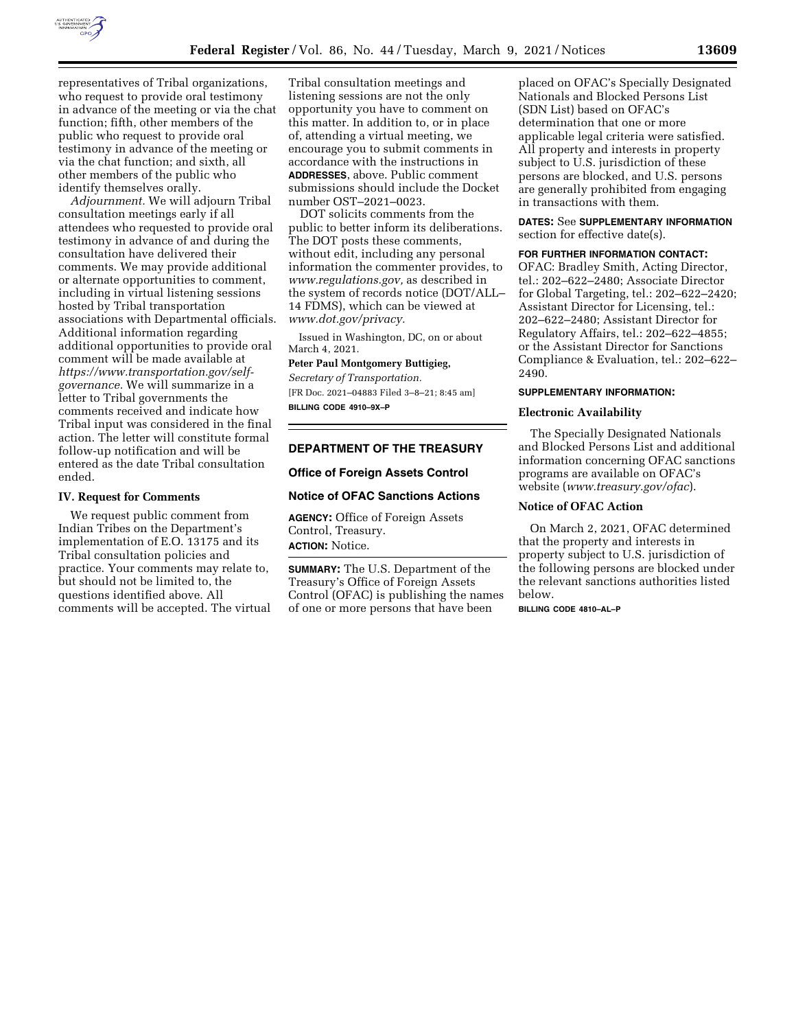

representatives of Tribal organizations, who request to provide oral testimony in advance of the meeting or via the chat function; fifth, other members of the public who request to provide oral testimony in advance of the meeting or via the chat function; and sixth, all other members of the public who identify themselves orally.

*Adjournment.* We will adjourn Tribal consultation meetings early if all attendees who requested to provide oral testimony in advance of and during the consultation have delivered their comments. We may provide additional or alternate opportunities to comment, including in virtual listening sessions hosted by Tribal transportation associations with Departmental officials. Additional information regarding additional opportunities to provide oral comment will be made available at *[https://www.transportation.gov/self](https://www.transportation.gov/self-governance)[governance.](https://www.transportation.gov/self-governance)* We will summarize in a letter to Tribal governments the comments received and indicate how Tribal input was considered in the final action. The letter will constitute formal follow-up notification and will be entered as the date Tribal consultation ended.

#### **IV. Request for Comments**

We request public comment from Indian Tribes on the Department's implementation of E.O. 13175 and its Tribal consultation policies and practice. Your comments may relate to, but should not be limited to, the questions identified above. All comments will be accepted. The virtual

Tribal consultation meetings and listening sessions are not the only opportunity you have to comment on this matter. In addition to, or in place of, attending a virtual meeting, we encourage you to submit comments in accordance with the instructions in **ADDRESSES**, above. Public comment submissions should include the Docket number OST–2021–0023.

DOT solicits comments from the public to better inform its deliberations. The DOT posts these comments, without edit, including any personal information the commenter provides, to *[www.regulations.gov,](http://www.regulations.gov)* as described in the system of records notice (DOT/ALL– 14 FDMS), which can be viewed at *[www.dot.gov/privacy.](http://www.dot.gov/privacy)* 

Issued in Washington, DC, on or about March 4, 2021.

## **Peter Paul Montgomery Buttigieg,**

*Secretary of Transportation.*  [FR Doc. 2021–04883 Filed 3–8–21; 8:45 am] **BILLING CODE 4910–9X–P** 

## **DEPARTMENT OF THE TREASURY**

## **Office of Foreign Assets Control**

#### **Notice of OFAC Sanctions Actions**

**AGENCY:** Office of Foreign Assets Control, Treasury. **ACTION:** Notice.

**SUMMARY:** The U.S. Department of the Treasury's Office of Foreign Assets Control (OFAC) is publishing the names of one or more persons that have been

placed on OFAC's Specially Designated Nationals and Blocked Persons List (SDN List) based on OFAC's determination that one or more applicable legal criteria were satisfied. All property and interests in property subject to U.S. jurisdiction of these persons are blocked, and U.S. persons are generally prohibited from engaging in transactions with them.

**DATES:** See **SUPPLEMENTARY INFORMATION** section for effective date(s).

#### **FOR FURTHER INFORMATION CONTACT:**

OFAC: Bradley Smith, Acting Director, tel.: 202–622–2480; Associate Director for Global Targeting, tel.: 202–622–2420; Assistant Director for Licensing, tel.: 202–622–2480; Assistant Director for Regulatory Affairs, tel.: 202–622–4855; or the Assistant Director for Sanctions Compliance & Evaluation, tel.: 202–622– 2490.

## **SUPPLEMENTARY INFORMATION:**

### **Electronic Availability**

The Specially Designated Nationals and Blocked Persons List and additional information concerning OFAC sanctions programs are available on OFAC's website (*[www.treasury.gov/ofac](http://www.treasury.gov/ofac)*).

#### **Notice of OFAC Action**

On March 2, 2021, OFAC determined that the property and interests in property subject to U.S. jurisdiction of the following persons are blocked under the relevant sanctions authorities listed below.

**BILLING CODE 4810–AL–P**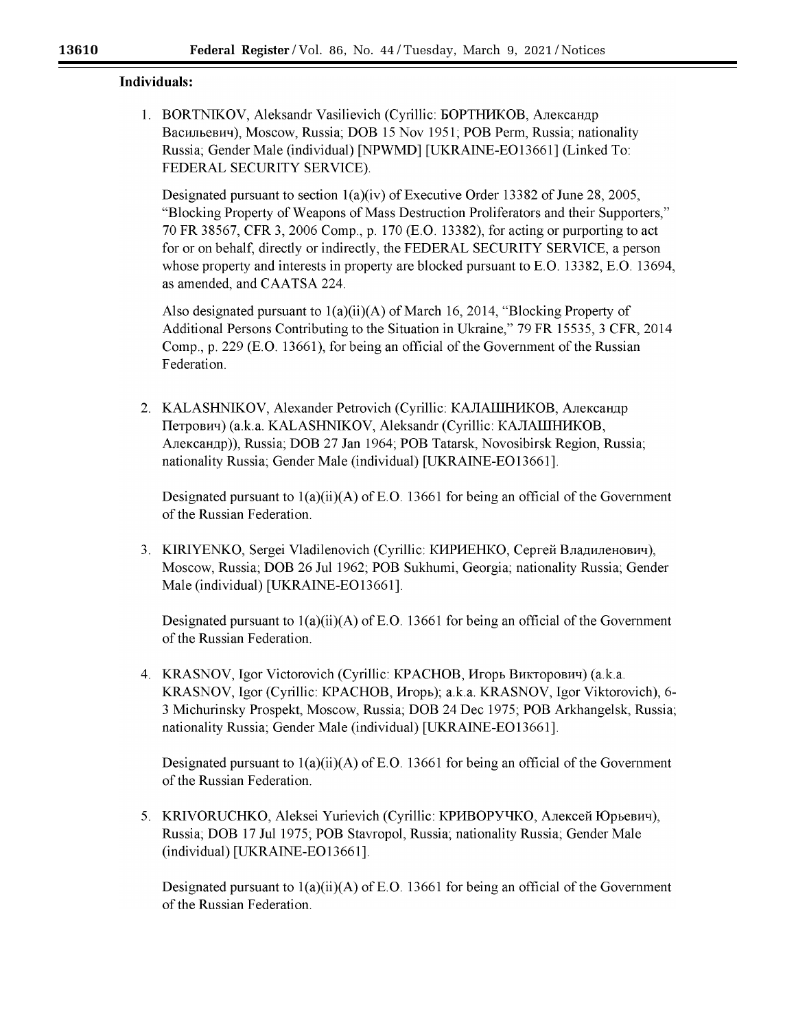# Individuals:

1. BORTNIKOV, Aleksandr Vasilievich (Cyrillic: БОРТНИКОВ, Александр Васильевич), Moscow, Russia; DOB 15 Nov 1951; POB Perm, Russia; nationality Russia; Gender Male (individual) [NPWMD] [UKRAINE-EO13661] (Linked To: FEDERAL SECURITY SERVICE).

Designated pursuant to section  $1(a)(iv)$  of Executive Order 13382 of June 28, 2005, "Blocking Property of Weapons of Mass Destruction Proliferators and their Supporters." 70 FR 38567, CFR 3, 2006 Comp., p. 170 (E.O. 13382), for acting or purporting to act for or on behalf, directly or indirectly, the FEDERAL SECURITY SERVICE, a person whose property and interests in property are blocked pursuant to E.O. 13382, E.O. 13694, as amended, and CAATSA 224.

Also designated pursuant to  $1(a)(ii)(A)$  of March 16, 2014, "Blocking Property of Additional Persons Contributing to the Situation in Ukraine," 79 FR 15535, 3 CFR, 2014 Comp., p. 229 (E.O. 13661), for being an official of the Government of the Russian Federation.

2. KALASHNIKOV, Alexander Petrovich (Cyrillic: КАЛАШНИКОВ, Александр Петрович) (а.к.а. KALASHNIKOV, Aleksandr (Cyrillic: КАЛАШНИКОВ, Александр)), Russia; DOB 27 Jan 1964; POB Tatarsk, Novosibirsk Region, Russia; nationality Russia; Gender Male (individual) [UKRAINE-EO13661].

Designated pursuant to  $1(a)(ii)(A)$  of E.O. 13661 for being an official of the Government of the Russian Federation.

3. KIRIYENKO, Sergei Vladilenovich (Cyrillic: КИРИЕНКО, Сергей Владиленович), Moscow, Russia; DOB 26 Jul 1962; POB Sukhumi, Georgia; nationality Russia; Gender Male (individual) [UKRAINE-EO13661].

Designated pursuant to  $1(a)(ii)(A)$  of E.O. 13661 for being an official of the Government of the Russian Federation.

4. KRASNOV, Igor Victorovich (Cyrillic: КРАСНОВ, Игорь Викторович) (а.к.а. KRASNOV, Igor (Cyrillic: КРАСНОВ, Игорь); a.k.a. KRASNOV, Igor Viktorovich), 6-3 Michurinsky Prospekt, Moscow, Russia; DOB 24 Dec 1975; POB Arkhangelsk, Russia; nationality Russia; Gender Male (individual) [UKRAINE-EO13661].

Designated pursuant to  $1(a)(ii)(A)$  of E.O. 13661 for being an official of the Government of the Russian Federation.

5. KRIVORUCHKO, Aleksei Yurievich (Cyrillic: КРИВОРУЧКО, Алексей Юрьевич), Russia; DOB 17 Jul 1975; POB Stavropol, Russia; nationality Russia; Gender Male (individual) [UKRAINE-EO13661].

Designated pursuant to  $1(a)(ii)(A)$  of E.O. 13661 for being an official of the Government of the Russian Federation.